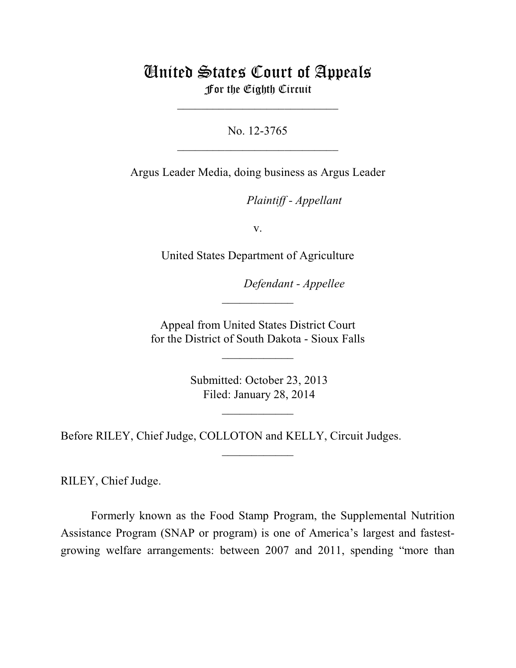# United States Court of Appeals For the Eighth Circuit

 $\frac{1}{2}$  ,  $\frac{1}{2}$  ,  $\frac{1}{2}$  ,  $\frac{1}{2}$  ,  $\frac{1}{2}$  ,  $\frac{1}{2}$  ,  $\frac{1}{2}$  ,  $\frac{1}{2}$  ,  $\frac{1}{2}$  ,  $\frac{1}{2}$  ,  $\frac{1}{2}$  ,  $\frac{1}{2}$  ,  $\frac{1}{2}$  ,  $\frac{1}{2}$  ,  $\frac{1}{2}$  ,  $\frac{1}{2}$  ,  $\frac{1}{2}$  ,  $\frac{1}{2}$  ,  $\frac{1$ 

 $\overline{\phantom{a}}$  , where  $\overline{\phantom{a}}$  , where  $\overline{\phantom{a}}$  , where  $\overline{\phantom{a}}$ No. 12-3765

Argus Leader Media, doing business as Argus Leader

 *Plaintiff - Appellant* 

v.

United States Department of Agriculture

 *Defendant - Appellee* 

 Appeal from United States District Court for the District of South Dakota - Sioux Falls

 $\overline{\phantom{a}}$  , where  $\overline{\phantom{a}}$ 

 $\frac{1}{2}$ 

 Submitted: October 23, 2013 Filed: January 28, 2014

 $\frac{1}{2}$  ,  $\frac{1}{2}$  ,  $\frac{1}{2}$  ,  $\frac{1}{2}$  ,  $\frac{1}{2}$  ,  $\frac{1}{2}$  ,  $\frac{1}{2}$ 

 $\overline{\phantom{a}}$  , where  $\overline{\phantom{a}}$ 

Before RILEY, Chief Judge, COLLOTON and KELLY, Circuit Judges.

RILEY, Chief Judge.

 Formerly known as the Food Stamp Program, the Supplemental Nutrition Assistance Program (SNAP or program) is one of America's largest and fastestgrowing welfare arrangements: between 2007 and 2011, spending "more than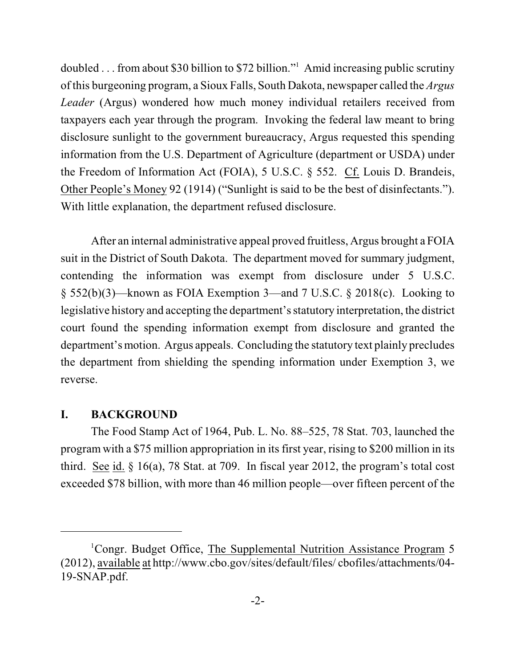doubled . . . from about \$30 billion to \$72 billion."<sup>1</sup> Amid increasing public scrutiny of this burgeoning program, a Sioux Falls, South Dakota, newspaper called the *Argus Leader* (Argus) wondered how much money individual retailers received from taxpayers each year through the program. Invoking the federal law meant to bring disclosure sunlight to the government bureaucracy, Argus requested this spending the Freedom of Information Act (FOIA), 5 U.S.C. § 552. Cf. Louis D. Brandeis, Other People's Money 92 (1914) ("Sunlight is said to be the best of disinfectants."). information from the U.S. Department of Agriculture (department or USDA) under With little explanation, the department refused disclosure.

 After an internal administrative appeal proved fruitless, Argus brought a FOIA suit in the District of South Dakota. The department moved for summary judgment, § 552(b)(3)—known as FOIA Exemption 3—and 7 U.S.C. § 2018(c). Looking to court found the spending information exempt from disclosure and granted the department's motion. Argus appeals. Concluding the statutory text plainly precludes contending the information was exempt from disclosure under 5 U.S.C. legislative history and accepting the department's statutory interpretation, the district the department from shielding the spending information under Exemption 3, we reverse.

# **I. BACKGROUND**

 The Food Stamp Act of 1964, Pub. L. No. 88–525, 78 Stat. 703, launched the program with a \$75 million appropriation in its first year, rising to \$200 million in its third. See id.  $§$  16(a), 78 Stat. at 709. In fiscal year 2012, the program's total cost exceeded \$78 billion, with more than 46 million people—over fifteen percent of the

<sup>&</sup>lt;sup>1</sup>Congr. Budget Office, The Supplemental Nutrition Assistance Program 5 (2012), available at http://www.cbo.gov/sites/default/files/ cbofiles/attachments/04 19-SNAP.pdf.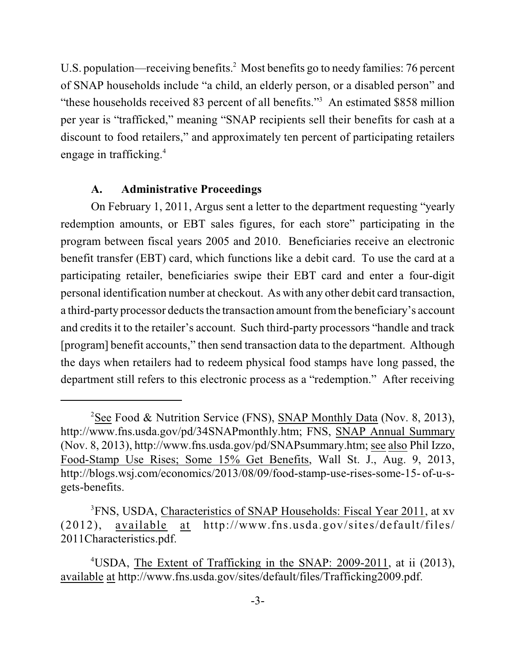U.S. population—receiving benefits.<sup>2</sup> Most benefits go to needy families: 76 percent of SNAP households include "a child, an elderly person, or a disabled person" and "these households received 83 percent of all benefits."<sup>3</sup> An estimated \$858 million per year is "trafficked," meaning "SNAP recipients sell their benefits for cash at a discount to food retailers," and approximately ten percent of participating retailers engage in trafficking.4

## **A. Administrative Proceedings**

 On February 1, 2011, Argus sent a letter to the department requesting "yearly redemption amounts, or EBT sales figures, for each store" participating in the program between fiscal years 2005 and 2010. Beneficiaries receive an electronic benefit transfer (EBT) card, which functions like a debit card. To use the card at a personal identification number at checkout. As with any other debit card transaction, a third-party processor deducts the transaction amount from the beneficiary's account and credits it to the retailer's account. Such third-party processors "handle and track [program] benefit accounts," then send transaction data to the department. Although the days when retailers had to redeem physical food stamps have long passed, the participating retailer, beneficiaries swipe their EBT card and enter a four-digit department still refers to this electronic process as a "redemption." After receiving

<sup>&</sup>lt;sup>2</sup>See Food & Nutrition Service (FNS), SNAP Monthly Data (Nov. 8, 2013), (Nov. 8, 2013), http://www.fns.usda.gov/pd/SNAPsummary.htm; see also Phil Izzo, Food-Stamp Use Rises; Some 15% Get Benefits, Wall St. J., Aug. 9, 2013, http://www.fns.usda.gov/pd/34SNAPmonthly.htm; FNS, SNAP Annual Summary http://blogs.wsj.com/economics/2013/08/09/food-stamp-use-rises-some-15- of-u-sgets-benefits.

<sup>&</sup>lt;sup>3</sup>FNS, USDA, Characteristics of SNAP Households: Fiscal Year 2011, at xv (2012), available at http://www.fns.usda.gov/sites/default/files/ 2011Characteristics.pdf.

<sup>&</sup>lt;sup>4</sup>USDA, The Extent of Trafficking in the SNAP: 2009-2011, at ii (2013), available at http://www.fns.usda.gov/sites/default/files/Trafficking2009.pdf.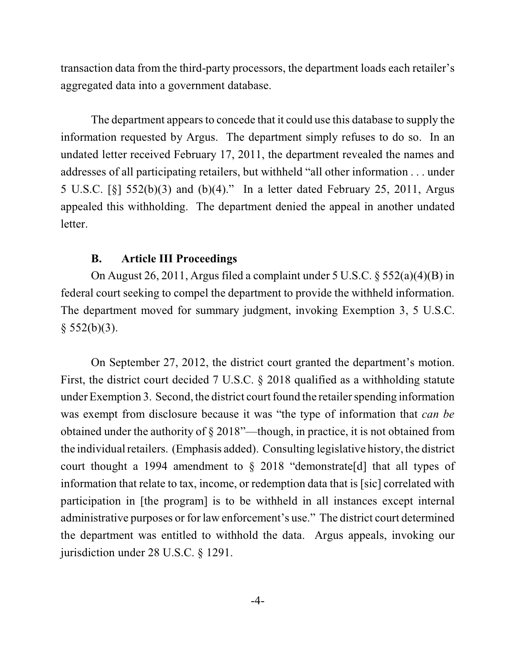transaction data from the third-party processors, the department loads each retailer's aggregated data into a government database.

 The department appears to concede that it could use this database to supply the information requested by Argus. The department simply refuses to do so. In an undated letter received February 17, 2011, the department revealed the names and 5 U.S.C. [§] 552(b)(3) and (b)(4)." In a letter dated February 25, 2011, Argus appealed this withholding. The department denied the appeal in another undated addresses of all participating retailers, but withheld "all other information . . . under letter.

#### **B. Article III Proceedings**

 On August 26, 2011, Argus filed a complaint under 5 U.S.C. § 552(a)(4)(B) in The department moved for summary judgment, invoking Exemption 3, 5 U.S.C. federal court seeking to compel the department to provide the withheld information.  $§ 552(b)(3).$ 

 First, the district court decided 7 U.S.C. § 2018 qualified as a withholding statute was exempt from disclosure because it was "the type of information that *can be*  obtained under the authority of § 2018"—though, in practice, it is not obtained from the individual retailers. (Emphasis added). Consulting legislative history, the district court thought a 1994 amendment to  $\S$  2018 "demonstrate[d] that all types of information that relate to tax, income, or redemption data that is [sic] correlated with participation in [the program] is to be withheld in all instances except internal administrative purposes or for law enforcement's use." The district court determined the department was entitled to withhold the data. Argus appeals, invoking our On September 27, 2012, the district court granted the department's motion. under Exemption 3. Second, the district court found the retailer spending information jurisdiction under 28 U.S.C. § 1291.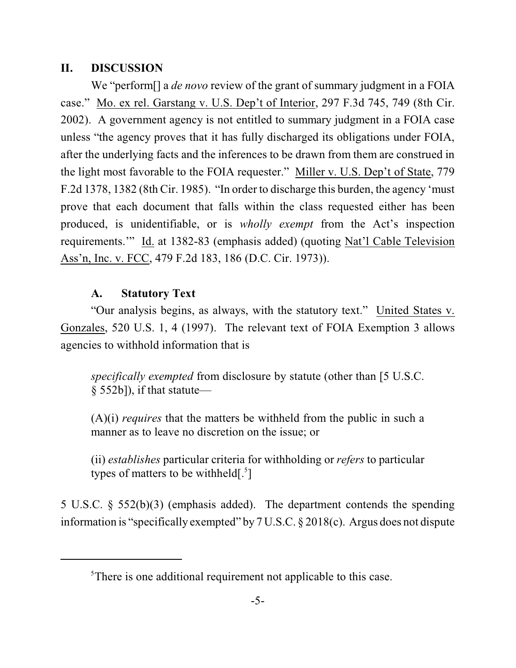# **II. DISCUSSION**

 We "perform[] a *de novo* review of the grant of summary judgment in a FOIA case." Mo. ex rel. Garstang v. U.S. Dep't of Interior, 297 F.3d 745, 749 (8th Cir. 2002). A government agency is not entitled to summary judgment in a FOIA case unless "the agency proves that it has fully discharged its obligations under FOIA, after the underlying facts and the inferences to be drawn from them are construed in the light most favorable to the FOIA requester." Miller v. U.S. Dep't of State, 779 F.2d 1378, 1382 (8th Cir. 1985). "In order to discharge this burden, the agency 'must prove that each document that falls within the class requested either has been produced, is unidentifiable, or is *wholly exempt* from the Act's inspection requirements."" Id. at 1382-83 (emphasis added) (quoting Nat'l Cable Television Ass'n, Inc. v. FCC, 479 F.2d 183, 186 (D.C. Cir. 1973)).

# **A. Statutory Text**

"Our analysis begins, as always, with the statutory text." United States v. Gonzales, 520 U.S. 1, 4 (1997). The relevant text of FOIA Exemption 3 allows agencies to withhold information that is

 *specifically exempted* from disclosure by statute (other than [5 U.S.C. § 552b]), if that statute—

 (A)(i) *requires* that the matters be withheld from the public in such a manner as to leave no discretion on the issue; or

 (ii) *establishes* particular criteria for withholding or *refers* to particular types of matters to be withheld $\binom{5}{1}$ 

 5 U.S.C. § 552(b)(3) (emphasis added). The department contends the spending information is "specifically exempted" by 7 U.S.C. § 2018(c). Argus does not dispute

<sup>&</sup>lt;sup>5</sup>There is one additional requirement not applicable to this case.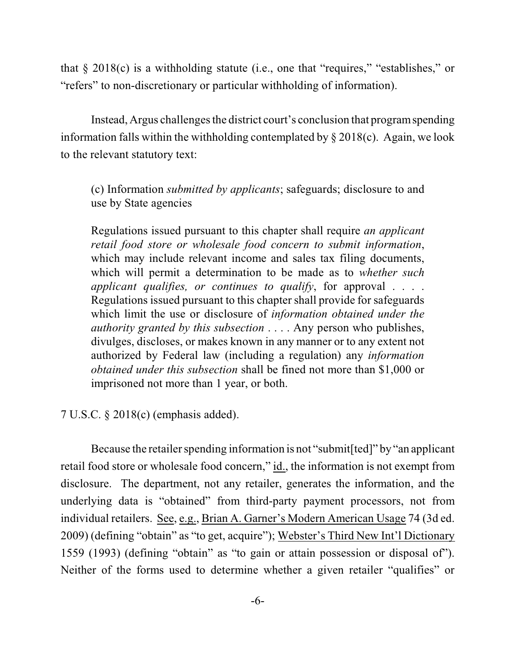that § 2018(c) is a withholding statute (i.e., one that "requires," "establishes," or "refers" to non-discretionary or particular withholding of information).

 Instead, Argus challenges the district court's conclusion that programspending information falls within the withholding contemplated by  $\S 2018(c)$ . Again, we look to the relevant statutory text:

 (c) Information *submitted by applicants*; safeguards; disclosure to and use by State agencies

 Regulations issued pursuant to this chapter shall require *an applicant retail food store or wholesale food concern to submit information*, which may include relevant income and sales tax filing documents, which will permit a determination to be made as to *whether such*  Regulations issued pursuant to this chapter shall provide for safeguards which limit the use or disclosure of *information obtained under the authority granted by this subsection* . . . . Any person who publishes, divulges, discloses, or makes known in any manner or to any extent not authorized by Federal law (including a regulation) any *information obtained under this subsection* shall be fined not more than \$1,000 or *applicant qualifies, or continues to qualify*, for approval . . . . imprisoned not more than 1 year, or both.

7 U.S.C. § 2018(c) (emphasis added).

retail food store or wholesale food concern," id., the information is not exempt from disclosure. The department, not any retailer, generates the information, and the underlying data is "obtained" from third-party payment processors, not from individual retailers. See, e.g., Brian A. Garner's Modern American Usage 74 (3d ed. 2009) (defining "obtain" as "to get, acquire"); Webster's Third New Int'l Dictionary 1559 (1993) (defining "obtain" as "to gain or attain possession or disposal of"). Neither of the forms used to determine whether a given retailer "qualifies" or Because the retailer spending information is not "submit[ted]" by "an applicant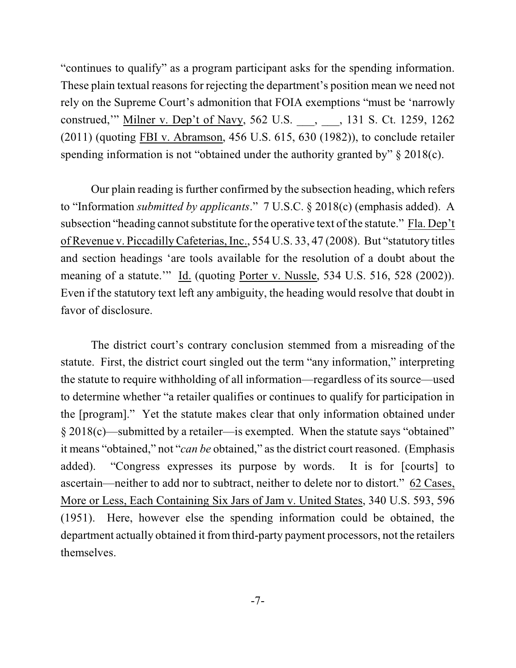"continues to qualify" as a program participant asks for the spending information. These plain textual reasons for rejecting the department's position mean we need not  $(2011)$  (quoting FBI v. Abramson, 456 U.S. 615, 630 (1982)), to conclude retailer rely on the Supreme Court's admonition that FOIA exemptions "must be 'narrowly construed,'" Milner v. Dep't of Navy, 562 U.S. \_\_\_, \_\_\_, 131 S. Ct. 1259, 1262 spending information is not "obtained under the authority granted by" § 2018(c).

 to "Information *submitted by applicants*." 7 U.S.C. § 2018(c) (emphasis added). A subsection "heading cannot substitute for the operative text of the statute." Fla. Dep't of Revenue v. Piccadilly Cafeterias, Inc., 554 U.S. 33, 47 (2008). But "statutory titles meaning of a statute.'" Id. (quoting Porter v. Nussle, 534 U.S. 516, 528 (2002)). Even if the statutory text left any ambiguity, the heading would resolve that doubt in Our plain reading is further confirmed by the subsection heading, which refers and section headings 'are tools available for the resolution of a doubt about the favor of disclosure.

 the statute to require withholding of all information—regardless of its source—used to determine whether "a retailer qualifies or continues to qualify for participation in the [program]." Yet the statute makes clear that only information obtained under added). "Congress expresses its purpose by words. It is for [courts] to ascertain—neither to add nor to subtract, neither to delete nor to distort." 62 Cases, department actually obtained it from third-party payment processors, not the retailers The district court's contrary conclusion stemmed from a misreading of the statute. First, the district court singled out the term "any information," interpreting § 2018(c)—submitted by a retailer—is exempted. When the statute says "obtained" it means "obtained," not "*can be* obtained," as the district court reasoned. (Emphasis More or Less, Each Containing Six Jars of Jam v. United States, 340 U.S. 593, 596 (1951). Here, however else the spending information could be obtained, the themselves.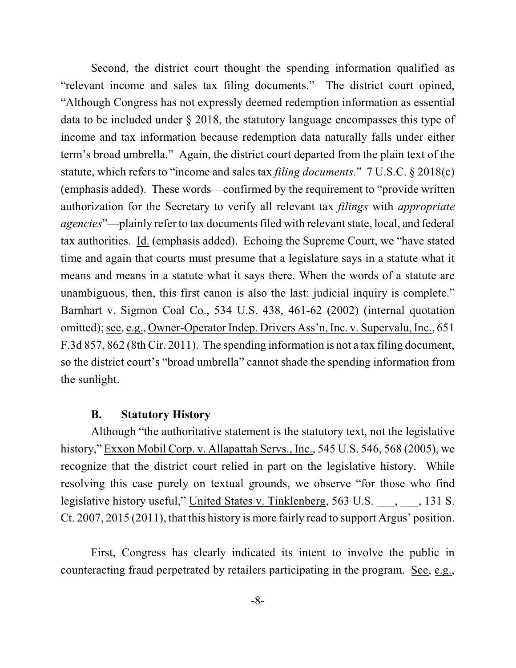"relevant income and sales tax filing documents." The district court opined, data to be included under § 2018, the statutory language encompasses this type of term's broad umbrella." Again, the district court departed from the plain text of the statute, which refers to "income and sales tax *filing documents*." 7 U.S.C. § 2018(c) (emphasis added). These words—confirmed by the requirement to "provide written authorization for the Secretary to verify all relevant tax *filings* with *appropriate agencies*"—plainly refer to tax documents filed with relevant state, local, and federal tax authorities. Id. (emphasis added). Echoing the Supreme Court, we "have stated time and again that courts must presume that a legislature says in a statute what it means and means in a statute what it says there. When the words of a statute are unambiguous, then, this first canon is also the last: judicial inquiry is complete." Barnhart v. Sigmon Coal Co., 534 U.S. 438, 461-62 (2002) (internal quotation F.3d 857, 862 (8th Cir. 2011). The spending information is not a tax filing document, Second, the district court thought the spending information qualified as "Although Congress has not expressly deemed redemption information as essential income and tax information because redemption data naturally falls under either omitted); see, e.g., Owner-Operator Indep. Drivers Ass'n, Inc. v. Supervalu, Inc., 651 so the district court's "broad umbrella" cannot shade the spending information from the sunlight.

### **B. Statutory History**

 recognize that the district court relied in part on the legislative history. While resolving this case purely on textual grounds, we observe "for those who find Ct. 2007, 2015 (2011), that this history is more fairly read to support Argus' position. Although "the authoritative statement is the statutory text, not the legislative history," Exxon Mobil Corp. v. Allapattah Servs., Inc., 545 U.S. 546, 568 (2005), we legislative history useful," United States v. Tinklenberg, 563 U.S. \_\_\_, \_\_\_, 131 S.

 First, Congress has clearly indicated its intent to involve the public in counteracting fraud perpetrated by retailers participating in the program. See, e.g.,